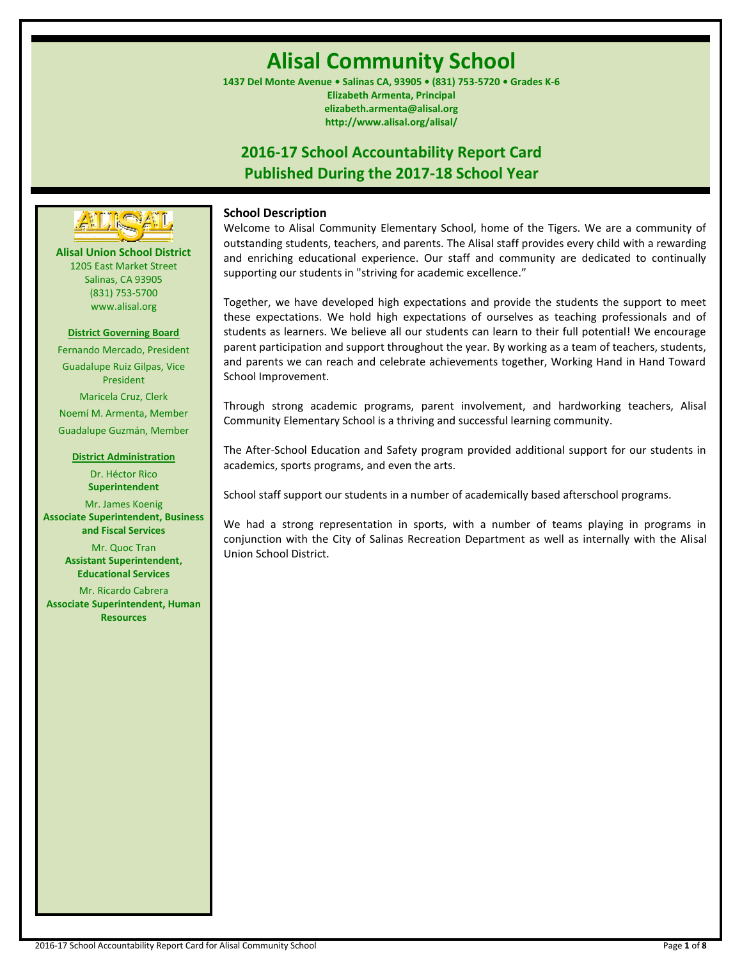# **Alisal Community School**

**1437 Del Monte Avenue • Salinas CA, 93905 • (831) 753-5720 • Grades K-6 Elizabeth Armenta, Principal elizabeth.armenta@alisal.org http://www.alisal.org/alisal/**

## **2016-17 School Accountability Report Card Published During the 2017-18 School Year**



**Alisal Union School District** 1205 East Market Street Salinas, CA 93905 (831) 753-5700 www.alisal.org

## **District Governing Board**

Fernando Mercado, President Guadalupe Ruiz Gilpas, Vice President Maricela Cruz, Clerk Noemí M. Armenta, Member Guadalupe Guzmán, Member

#### **District Administration**

Dr. Héctor Rico **Superintendent** Mr. James Koenig **Associate Superintendent, Business and Fiscal Services** Mr. Quoc Tran **Assistant Superintendent, Educational Services**

Mr. Ricardo Cabrera **Associate Superintendent, Human Resources**

## **School Description**

Welcome to Alisal Community Elementary School, home of the Tigers. We are a community of outstanding students, teachers, and parents. The Alisal staff provides every child with a rewarding and enriching educational experience. Our staff and community are dedicated to continually supporting our students in "striving for academic excellence."

Together, we have developed high expectations and provide the students the support to meet these expectations. We hold high expectations of ourselves as teaching professionals and of students as learners. We believe all our students can learn to their full potential! We encourage parent participation and support throughout the year. By working as a team of teachers, students, and parents we can reach and celebrate achievements together, Working Hand in Hand Toward School Improvement.

Through strong academic programs, parent involvement, and hardworking teachers, Alisal Community Elementary School is a thriving and successful learning community.

The After-School Education and Safety program provided additional support for our students in academics, sports programs, and even the arts.

School staff support our students in a number of academically based afterschool programs.

We had a strong representation in sports, with a number of teams playing in programs in conjunction with the City of Salinas Recreation Department as well as internally with the Alisal Union School District.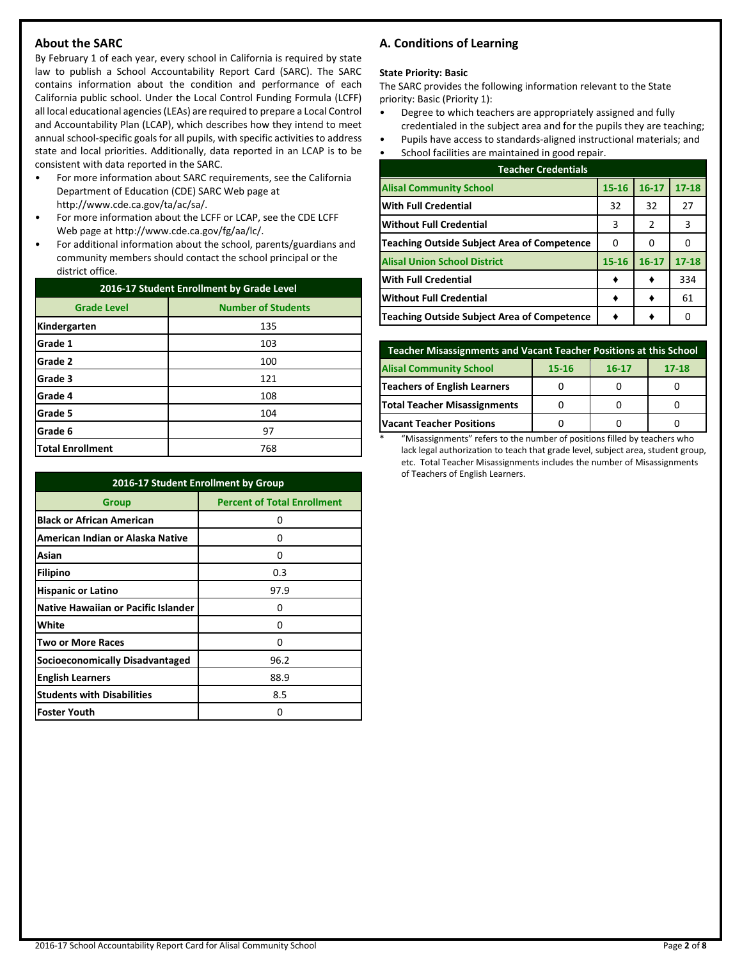## **About the SARC**

By February 1 of each year, every school in California is required by state law to publish a School Accountability Report Card (SARC). The SARC contains information about the condition and performance of each California public school. Under the Local Control Funding Formula (LCFF) all local educational agencies (LEAs) are required to prepare a Local Control and Accountability Plan (LCAP), which describes how they intend to meet annual school-specific goals for all pupils, with specific activities to address state and local priorities. Additionally, data reported in an LCAP is to be consistent with data reported in the SARC.

- For more information about SARC requirements, see the California Department of Education (CDE) SARC Web page at http://www.cde.ca.gov/ta/ac/sa/.
- For more information about the LCFF or LCAP, see the CDE LCFF Web page at http://www.cde.ca.gov/fg/aa/lc/.
- For additional information about the school, parents/guardians and community members should contact the school principal or the district office.

| 2016-17 Student Enrollment by Grade Level |                           |  |  |
|-------------------------------------------|---------------------------|--|--|
| <b>Grade Level</b>                        | <b>Number of Students</b> |  |  |
| Kindergarten                              | 135                       |  |  |
| Grade 1                                   | 103                       |  |  |
| Grade 2                                   | 100                       |  |  |
| Grade 3                                   | 121                       |  |  |
| Grade 4                                   | 108                       |  |  |
| Grade 5                                   | 104                       |  |  |
| Grade 6                                   | 97                        |  |  |
| <b>Total Enrollment</b>                   | 768                       |  |  |

| 2016-17 Student Enrollment by Group |                                    |  |  |  |
|-------------------------------------|------------------------------------|--|--|--|
| Group                               | <b>Percent of Total Enrollment</b> |  |  |  |
| <b>Black or African American</b>    | O                                  |  |  |  |
| American Indian or Alaska Native    | 0                                  |  |  |  |
| Asian                               | 0                                  |  |  |  |
| Filipino                            | 0.3                                |  |  |  |
| <b>Hispanic or Latino</b>           | 97.9                               |  |  |  |
| Native Hawaiian or Pacific Islander | 0                                  |  |  |  |
| White                               | 0                                  |  |  |  |
| <b>Two or More Races</b>            | 0                                  |  |  |  |
| Socioeconomically Disadvantaged     | 96.2                               |  |  |  |
| <b>English Learners</b>             | 88.9                               |  |  |  |
| <b>Students with Disabilities</b>   | 8.5                                |  |  |  |
| <b>Foster Youth</b>                 | 0                                  |  |  |  |

## **A. Conditions of Learning**

#### **State Priority: Basic**

The SARC provides the following information relevant to the State priority: Basic (Priority 1):

- Degree to which teachers are appropriately assigned and fully credentialed in the subject area and for the pupils they are teaching;
- Pupils have access to standards-aligned instructional materials; and
- School facilities are maintained in good repair.

| <b>Teacher Credentials</b>                         |           |           |           |  |  |  |
|----------------------------------------------------|-----------|-----------|-----------|--|--|--|
| <b>Alisal Community School</b>                     | $15 - 16$ | $16 - 17$ | $17 - 18$ |  |  |  |
| <b>With Full Credential</b>                        | 32        | 32        | 27        |  |  |  |
| <b>Without Full Credential</b>                     | 3         | 2         | 3         |  |  |  |
| <b>Teaching Outside Subject Area of Competence</b> | 0         | O         |           |  |  |  |
| <b>Alisal Union School District</b>                | 15-16     | $16 - 17$ | $17 - 18$ |  |  |  |
| <b>With Full Credential</b>                        |           |           | 334       |  |  |  |
| <b>Without Full Credential</b>                     |           |           | 61        |  |  |  |
| <b>Teaching Outside Subject Area of Competence</b> |           |           |           |  |  |  |

| Teacher Misassignments and Vacant Teacher Positions at this School |  |  |  |  |  |  |  |  |
|--------------------------------------------------------------------|--|--|--|--|--|--|--|--|
| <b>Alisal Community School</b><br>$17 - 18$<br>15-16<br>$16 - 17$  |  |  |  |  |  |  |  |  |
| <b>Teachers of English Learners</b>                                |  |  |  |  |  |  |  |  |
| Total Teacher Misassignments                                       |  |  |  |  |  |  |  |  |
| <b>Vacant Teacher Positions</b>                                    |  |  |  |  |  |  |  |  |

\* "Misassignments" refers to the number of positions filled by teachers who lack legal authorization to teach that grade level, subject area, student group, etc. Total Teacher Misassignments includes the number of Misassignments of Teachers of English Learners.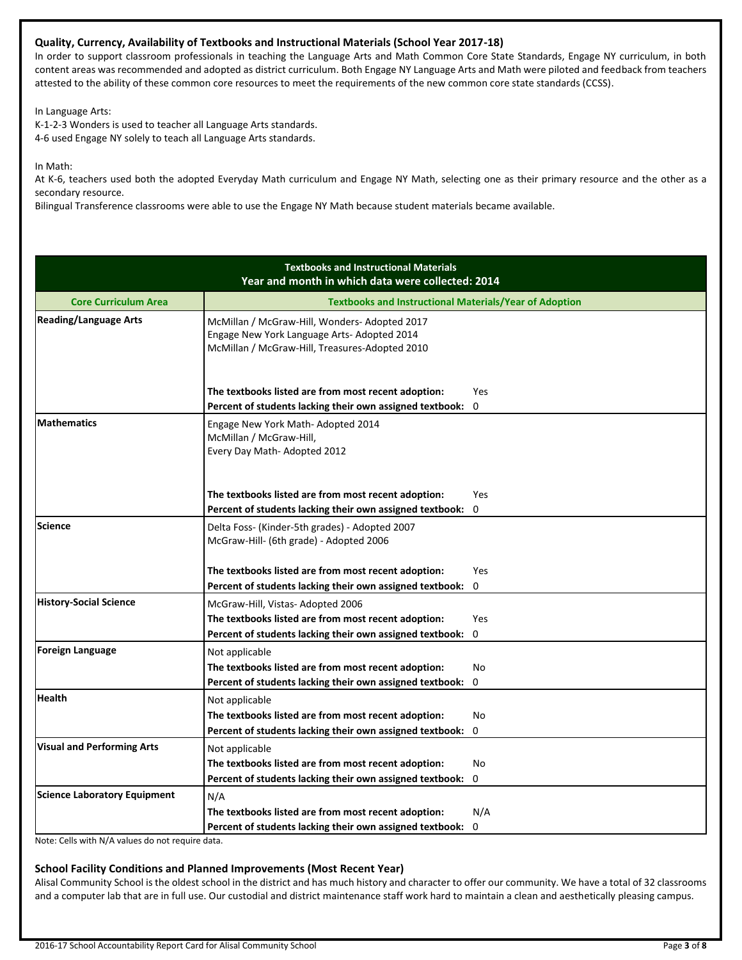## **Quality, Currency, Availability of Textbooks and Instructional Materials (School Year 2017-18)**

In order to support classroom professionals in teaching the Language Arts and Math Common Core State Standards, Engage NY curriculum, in both content areas was recommended and adopted as district curriculum. Both Engage NY Language Arts and Math were piloted and feedback from teachers attested to the ability of these common core resources to meet the requirements of the new common core state standards (CCSS).

In Language Arts:

K-1-2-3 Wonders is used to teacher all Language Arts standards. 4-6 used Engage NY solely to teach all Language Arts standards.

In Math:

At K-6, teachers used both the adopted Everyday Math curriculum and Engage NY Math, selecting one as their primary resource and the other as a secondary resource.

Bilingual Transference classrooms were able to use the Engage NY Math because student materials became available.

| <b>Textbooks and Instructional Materials</b><br>Year and month in which data were collected: 2014 |                                                                                                                                               |             |  |  |  |
|---------------------------------------------------------------------------------------------------|-----------------------------------------------------------------------------------------------------------------------------------------------|-------------|--|--|--|
| <b>Core Curriculum Area</b>                                                                       | <b>Textbooks and Instructional Materials/Year of Adoption</b>                                                                                 |             |  |  |  |
| <b>Reading/Language Arts</b>                                                                      | McMillan / McGraw-Hill, Wonders-Adopted 2017<br>Engage New York Language Arts- Adopted 2014<br>McMillan / McGraw-Hill, Treasures-Adopted 2010 |             |  |  |  |
|                                                                                                   | The textbooks listed are from most recent adoption:<br>Percent of students lacking their own assigned textbook:                               | Yes<br>0    |  |  |  |
| <b>Mathematics</b>                                                                                | Engage New York Math-Adopted 2014<br>McMillan / McGraw-Hill,<br>Every Day Math-Adopted 2012                                                   |             |  |  |  |
|                                                                                                   | The textbooks listed are from most recent adoption:                                                                                           | Yes         |  |  |  |
|                                                                                                   | Percent of students lacking their own assigned textbook:                                                                                      | 0           |  |  |  |
| Science                                                                                           | Delta Foss- (Kinder-5th grades) - Adopted 2007<br>McGraw-Hill- (6th grade) - Adopted 2006                                                     |             |  |  |  |
|                                                                                                   | The textbooks listed are from most recent adoption:                                                                                           | <b>Yes</b>  |  |  |  |
|                                                                                                   | Percent of students lacking their own assigned textbook:                                                                                      | $\mathbf 0$ |  |  |  |
| <b>History-Social Science</b>                                                                     | McGraw-Hill, Vistas- Adopted 2006                                                                                                             |             |  |  |  |
|                                                                                                   | The textbooks listed are from most recent adoption:                                                                                           | Yes         |  |  |  |
|                                                                                                   | Percent of students lacking their own assigned textbook:                                                                                      | 0           |  |  |  |
| <b>Foreign Language</b>                                                                           | Not applicable                                                                                                                                |             |  |  |  |
|                                                                                                   | The textbooks listed are from most recent adoption:                                                                                           | No          |  |  |  |
|                                                                                                   | Percent of students lacking their own assigned textbook:                                                                                      | 0           |  |  |  |
| <b>Health</b>                                                                                     | Not applicable                                                                                                                                |             |  |  |  |
|                                                                                                   | The textbooks listed are from most recent adoption:                                                                                           | No          |  |  |  |
|                                                                                                   | Percent of students lacking their own assigned textbook:                                                                                      | 0           |  |  |  |
| <b>Visual and Performing Arts</b>                                                                 | Not applicable                                                                                                                                |             |  |  |  |
|                                                                                                   | The textbooks listed are from most recent adoption:                                                                                           | No          |  |  |  |
|                                                                                                   | Percent of students lacking their own assigned textbook:                                                                                      | 0           |  |  |  |
| <b>Science Laboratory Equipment</b>                                                               | N/A                                                                                                                                           |             |  |  |  |
|                                                                                                   | The textbooks listed are from most recent adoption:                                                                                           | N/A         |  |  |  |
|                                                                                                   | Percent of students lacking their own assigned textbook:                                                                                      | 0           |  |  |  |

Note: Cells with N/A values do not require data.

## **School Facility Conditions and Planned Improvements (Most Recent Year)**

Alisal Community School is the oldest school in the district and has much history and character to offer our community. We have a total of 32 classrooms and a computer lab that are in full use. Our custodial and district maintenance staff work hard to maintain a clean and aesthetically pleasing campus.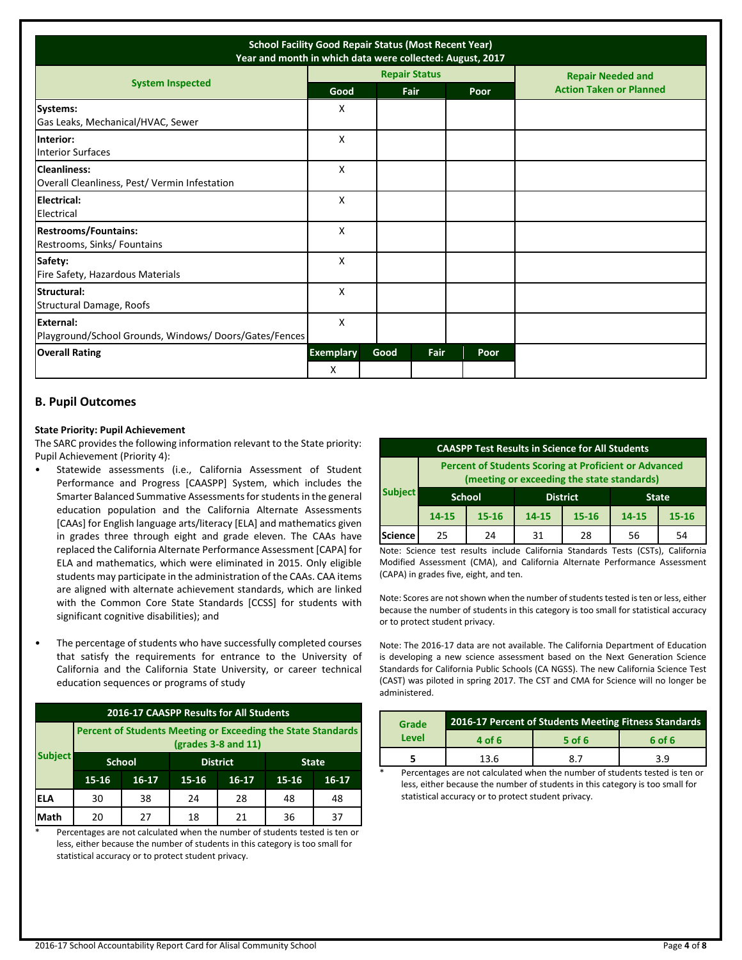| <b>School Facility Good Repair Status (Most Recent Year)</b><br>Year and month in which data were collected: August, 2017 |                       |      |                      |             |                                |  |
|---------------------------------------------------------------------------------------------------------------------------|-----------------------|------|----------------------|-------------|--------------------------------|--|
| <b>System Inspected</b>                                                                                                   |                       |      | <b>Repair Status</b> |             | <b>Repair Needed and</b>       |  |
|                                                                                                                           | Good                  |      | Fair                 | <b>Poor</b> | <b>Action Taken or Planned</b> |  |
| <b>Systems:</b><br>Gas Leaks, Mechanical/HVAC, Sewer                                                                      | X                     |      |                      |             |                                |  |
| Interior:<br><b>Interior Surfaces</b>                                                                                     | X                     |      |                      |             |                                |  |
| <b>Cleanliness:</b><br>Overall Cleanliness, Pest/Vermin Infestation                                                       | X                     |      |                      |             |                                |  |
| Electrical:<br>Electrical                                                                                                 | Χ                     |      |                      |             |                                |  |
| <b>Restrooms/Fountains:</b><br>Restrooms, Sinks/ Fountains                                                                | X                     |      |                      |             |                                |  |
| Safety:<br>Fire Safety, Hazardous Materials                                                                               | X                     |      |                      |             |                                |  |
| Structural:<br>Structural Damage, Roofs                                                                                   | X                     |      |                      |             |                                |  |
| External:<br>Playground/School Grounds, Windows/Doors/Gates/Fences                                                        | X                     |      |                      |             |                                |  |
| <b>Overall Rating</b>                                                                                                     | <b>Exemplary</b><br>X | Good | Fair                 | Poor        |                                |  |

## **B. Pupil Outcomes**

#### **State Priority: Pupil Achievement**

The SARC provides the following information relevant to the State priority: Pupil Achievement (Priority 4):

- Statewide assessments (i.e., California Assessment of Student Performance and Progress [CAASPP] System, which includes the Smarter Balanced Summative Assessments for students in the general education population and the California Alternate Assessments [CAAs] for English language arts/literacy [ELA] and mathematics given in grades three through eight and grade eleven. The CAAs have replaced the California Alternate Performance Assessment [CAPA] for ELA and mathematics, which were eliminated in 2015. Only eligible students may participate in the administration of the CAAs. CAA items are aligned with alternate achievement standards, which are linked with the Common Core State Standards [CCSS] for students with significant cognitive disabilities); and
- The percentage of students who have successfully completed courses that satisfy the requirements for entrance to the University of California and the California State University, or career technical education sequences or programs of study

| 2016-17 CAASPP Results for All Students |                                                                                              |                                                  |           |         |    |    |  |
|-----------------------------------------|----------------------------------------------------------------------------------------------|--------------------------------------------------|-----------|---------|----|----|--|
|                                         | <b>Percent of Students Meeting or Exceeding the State Standards</b><br>$(grades 3-8 and 11)$ |                                                  |           |         |    |    |  |
| <b>Subject</b>                          |                                                                                              | <b>School</b><br><b>District</b><br><b>State</b> |           |         |    |    |  |
|                                         | $15 - 16$                                                                                    | $16-17$                                          | $15 - 16$ | $16-17$ |    |    |  |
| ELA                                     | 30                                                                                           | 38                                               | 24        | 28      | 48 | 48 |  |
| Math                                    | 20                                                                                           | 27                                               | 18        | 21      | 36 | 37 |  |

Percentages are not calculated when the number of students tested is ten or less, either because the number of students in this category is too small for statistical accuracy or to protect student privacy.

| <b>CAASPP Test Results in Science for All Students</b> |                                                                                                            |                                                  |       |           |       |           |  |
|--------------------------------------------------------|------------------------------------------------------------------------------------------------------------|--------------------------------------------------|-------|-----------|-------|-----------|--|
|                                                        | <b>Percent of Students Scoring at Proficient or Advanced</b><br>(meeting or exceeding the state standards) |                                                  |       |           |       |           |  |
| <b>Subject</b>                                         |                                                                                                            | <b>District</b><br><b>School</b><br><b>State</b> |       |           |       |           |  |
|                                                        | $14 - 15$                                                                                                  | $15 - 16$                                        | 14-15 | $15 - 16$ | 14-15 | $15 - 16$ |  |
| Science                                                | 25                                                                                                         | 24                                               | 31    | 28        | 56    | 54        |  |

Note: Science test results include California Standards Tests (CSTs), California Modified Assessment (CMA), and California Alternate Performance Assessment (CAPA) in grades five, eight, and ten.

Note: Scores are not shown when the number of students tested is ten or less, either because the number of students in this category is too small for statistical accuracy or to protect student privacy.

Note: The 2016-17 data are not available. The California Department of Education is developing a new science assessment based on the Next Generation Science Standards for California Public Schools (CA NGSS). The new California Science Test (CAST) was piloted in spring 2017. The CST and CMA for Science will no longer be administered.

| Grade | 2016-17 Percent of Students Meeting Fitness Standards |     |     |  |  |  |  |
|-------|-------------------------------------------------------|-----|-----|--|--|--|--|
| Level | 4 of 6<br>5 of 6<br>6 of 6                            |     |     |  |  |  |  |
|       | 13.6                                                  | 8.7 | 3.9 |  |  |  |  |
| ÷     |                                                       |     |     |  |  |  |  |

Percentages are not calculated when the number of students tested is ten or less, either because the number of students in this category is too small for statistical accuracy or to protect student privacy.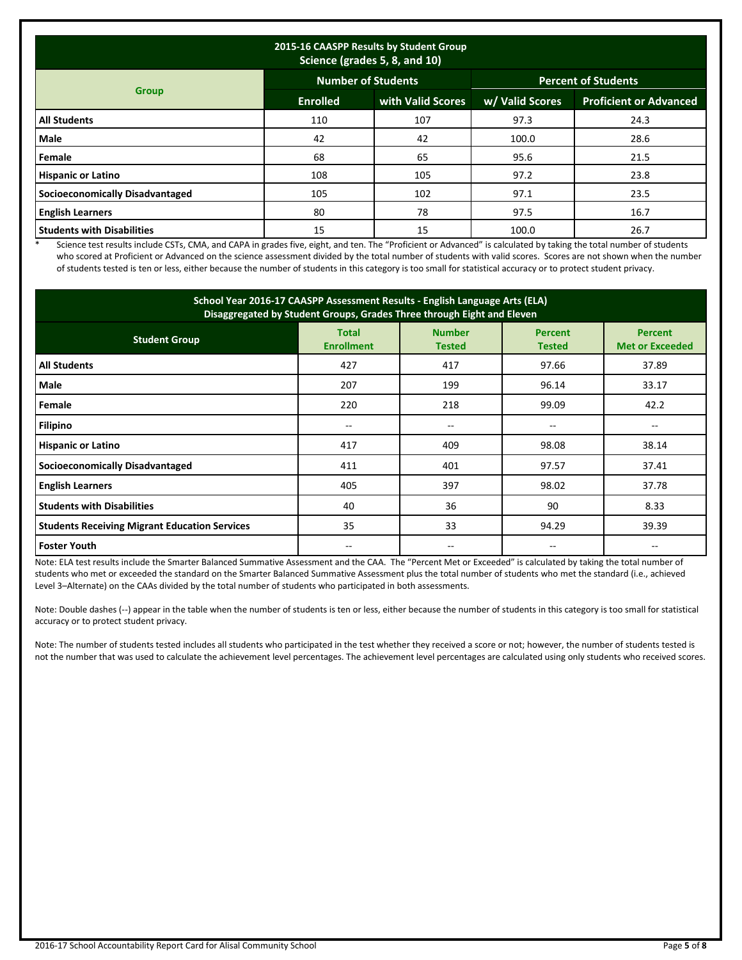| 2015-16 CAASPP Results by Student Group<br>Science (grades 5, 8, and 10) |                           |                   |                            |                               |  |  |  |
|--------------------------------------------------------------------------|---------------------------|-------------------|----------------------------|-------------------------------|--|--|--|
|                                                                          | <b>Number of Students</b> |                   | <b>Percent of Students</b> |                               |  |  |  |
| <b>Group</b>                                                             | <b>Enrolled</b>           | with Valid Scores | w/ Valid Scores            | <b>Proficient or Advanced</b> |  |  |  |
| <b>All Students</b>                                                      | 110                       | 107               | 97.3                       | 24.3                          |  |  |  |
| Male                                                                     | 42                        | 42                | 100.0                      | 28.6                          |  |  |  |
| Female                                                                   | 68                        | 65                | 95.6                       | 21.5                          |  |  |  |
| <b>Hispanic or Latino</b>                                                | 108                       | 105               | 97.2                       | 23.8                          |  |  |  |
| <b>Socioeconomically Disadvantaged</b>                                   | 105                       | 102               | 97.1                       | 23.5                          |  |  |  |
| <b>English Learners</b>                                                  | 80                        | 78                | 97.5                       | 16.7                          |  |  |  |
| <b>Students with Disabilities</b>                                        | 15                        | 15                | 100.0                      | 26.7                          |  |  |  |

\* Science test results include CSTs, CMA, and CAPA in grades five, eight, and ten. The "Proficient or Advanced" is calculated by taking the total number of students who scored at Proficient or Advanced on the science assessment divided by the total number of students with valid scores. Scores are not shown when the number of students tested is ten or less, either because the number of students in this category is too small for statistical accuracy or to protect student privacy.

| School Year 2016-17 CAASPP Assessment Results - English Language Arts (ELA)<br>Disaggregated by Student Groups, Grades Three through Eight and Eleven |                                   |                                |                                 |                                          |  |  |
|-------------------------------------------------------------------------------------------------------------------------------------------------------|-----------------------------------|--------------------------------|---------------------------------|------------------------------------------|--|--|
| <b>Student Group</b>                                                                                                                                  | <b>Total</b><br><b>Enrollment</b> | <b>Number</b><br><b>Tested</b> | <b>Percent</b><br><b>Tested</b> | <b>Percent</b><br><b>Met or Exceeded</b> |  |  |
| <b>All Students</b>                                                                                                                                   | 427                               | 417                            | 97.66                           | 37.89                                    |  |  |
| Male                                                                                                                                                  | 207                               | 199                            | 96.14                           | 33.17                                    |  |  |
| Female                                                                                                                                                | 220                               | 218                            | 99.09                           | 42.2                                     |  |  |
| <b>Filipino</b>                                                                                                                                       | --                                | $-$                            | --                              | $\hspace{0.05cm}$ – $\hspace{0.05cm}$    |  |  |
| <b>Hispanic or Latino</b>                                                                                                                             | 417                               | 409                            | 98.08                           | 38.14                                    |  |  |
| <b>Socioeconomically Disadvantaged</b>                                                                                                                | 411                               | 401                            | 97.57                           | 37.41                                    |  |  |
| <b>English Learners</b>                                                                                                                               | 405                               | 397                            | 98.02                           | 37.78                                    |  |  |
| <b>Students with Disabilities</b>                                                                                                                     | 40                                | 36                             | 90                              | 8.33                                     |  |  |
| <b>Students Receiving Migrant Education Services</b>                                                                                                  | 35                                | 33                             | 94.29                           | 39.39                                    |  |  |
| <b>Foster Youth</b>                                                                                                                                   | --                                | $- -$                          | --                              |                                          |  |  |

Note: ELA test results include the Smarter Balanced Summative Assessment and the CAA. The "Percent Met or Exceeded" is calculated by taking the total number of students who met or exceeded the standard on the Smarter Balanced Summative Assessment plus the total number of students who met the standard (i.e., achieved Level 3–Alternate) on the CAAs divided by the total number of students who participated in both assessments.

Note: Double dashes (--) appear in the table when the number of students is ten or less, either because the number of students in this category is too small for statistical accuracy or to protect student privacy.

Note: The number of students tested includes all students who participated in the test whether they received a score or not; however, the number of students tested is not the number that was used to calculate the achievement level percentages. The achievement level percentages are calculated using only students who received scores.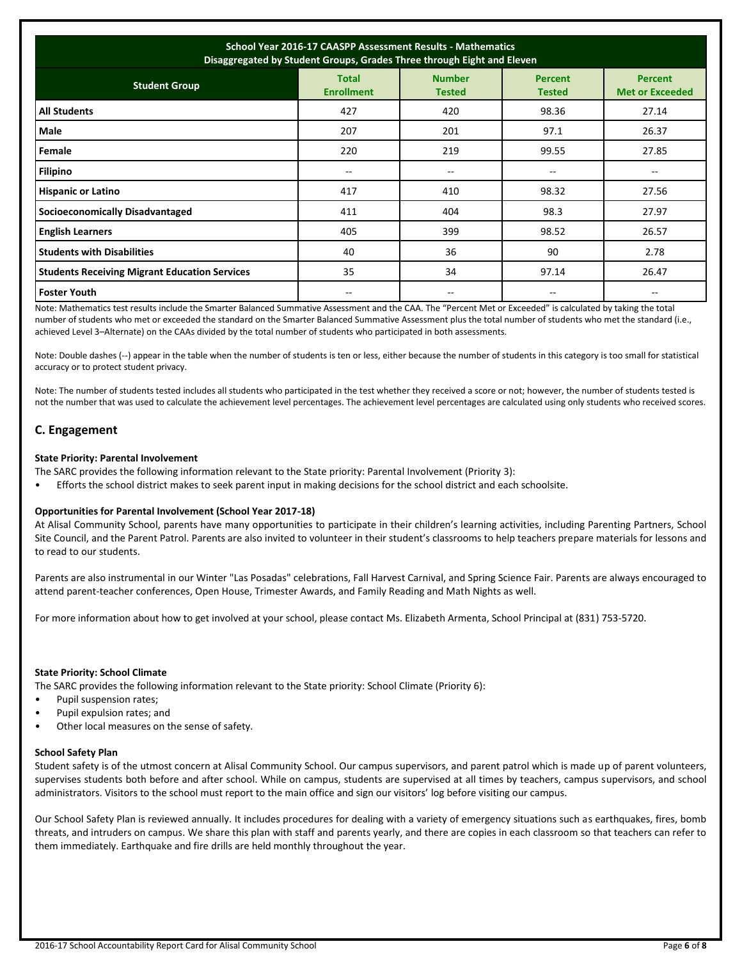| School Year 2016-17 CAASPP Assessment Results - Mathematics<br>Disaggregated by Student Groups, Grades Three through Eight and Eleven                                      |       |       |       |                          |  |  |  |  |  |
|----------------------------------------------------------------------------------------------------------------------------------------------------------------------------|-------|-------|-------|--------------------------|--|--|--|--|--|
| <b>Number</b><br><b>Total</b><br><b>Percent</b><br><b>Percent</b><br><b>Student Group</b><br><b>Enrollment</b><br><b>Met or Exceeded</b><br><b>Tested</b><br><b>Tested</b> |       |       |       |                          |  |  |  |  |  |
| <b>All Students</b>                                                                                                                                                        | 427   | 420   | 98.36 | 27.14                    |  |  |  |  |  |
| Male                                                                                                                                                                       | 207   | 201   | 97.1  | 26.37                    |  |  |  |  |  |
| Female                                                                                                                                                                     | 220   | 219   | 99.55 | 27.85                    |  |  |  |  |  |
| <b>Filipino</b>                                                                                                                                                            | $- -$ | $- -$ | $-$   | $\overline{\phantom{m}}$ |  |  |  |  |  |
| <b>Hispanic or Latino</b>                                                                                                                                                  | 417   | 410   | 98.32 | 27.56                    |  |  |  |  |  |
| <b>Socioeconomically Disadvantaged</b>                                                                                                                                     | 411   | 404   | 98.3  | 27.97                    |  |  |  |  |  |
| <b>English Learners</b>                                                                                                                                                    | 405   | 399   | 98.52 | 26.57                    |  |  |  |  |  |
| <b>Students with Disabilities</b>                                                                                                                                          | 40    | 36    | 90    | 2.78                     |  |  |  |  |  |
| <b>Students Receiving Migrant Education Services</b>                                                                                                                       | 35    | 34    | 97.14 | 26.47                    |  |  |  |  |  |
| <b>Foster Youth</b>                                                                                                                                                        | --    |       | --    |                          |  |  |  |  |  |

Note: Mathematics test results include the Smarter Balanced Summative Assessment and the CAA. The "Percent Met or Exceeded" is calculated by taking the total number of students who met or exceeded the standard on the Smarter Balanced Summative Assessment plus the total number of students who met the standard (i.e., achieved Level 3–Alternate) on the CAAs divided by the total number of students who participated in both assessments.

Note: Double dashes (--) appear in the table when the number of students is ten or less, either because the number of students in this category is too small for statistical accuracy or to protect student privacy.

Note: The number of students tested includes all students who participated in the test whether they received a score or not; however, the number of students tested is not the number that was used to calculate the achievement level percentages. The achievement level percentages are calculated using only students who received scores.

## **C. Engagement**

## **State Priority: Parental Involvement**

The SARC provides the following information relevant to the State priority: Parental Involvement (Priority 3):

• Efforts the school district makes to seek parent input in making decisions for the school district and each schoolsite.

## **Opportunities for Parental Involvement (School Year 2017-18)**

At Alisal Community School, parents have many opportunities to participate in their children's learning activities, including Parenting Partners, School Site Council, and the Parent Patrol. Parents are also invited to volunteer in their student's classrooms to help teachers prepare materials for lessons and to read to our students.

Parents are also instrumental in our Winter "Las Posadas" celebrations, Fall Harvest Carnival, and Spring Science Fair. Parents are always encouraged to attend parent-teacher conferences, Open House, Trimester Awards, and Family Reading and Math Nights as well.

For more information about how to get involved at your school, please contact Ms. Elizabeth Armenta, School Principal at (831) 753-5720.

#### **State Priority: School Climate**

The SARC provides the following information relevant to the State priority: School Climate (Priority 6):

- Pupil suspension rates;
- Pupil expulsion rates; and
- Other local measures on the sense of safety.

#### **School Safety Plan**

Student safety is of the utmost concern at Alisal Community School. Our campus supervisors, and parent patrol which is made up of parent volunteers, supervises students both before and after school. While on campus, students are supervised at all times by teachers, campus supervisors, and school administrators. Visitors to the school must report to the main office and sign our visitors' log before visiting our campus.

Our School Safety Plan is reviewed annually. It includes procedures for dealing with a variety of emergency situations such as earthquakes, fires, bomb threats, and intruders on campus. We share this plan with staff and parents yearly, and there are copies in each classroom so that teachers can refer to them immediately. Earthquake and fire drills are held monthly throughout the year.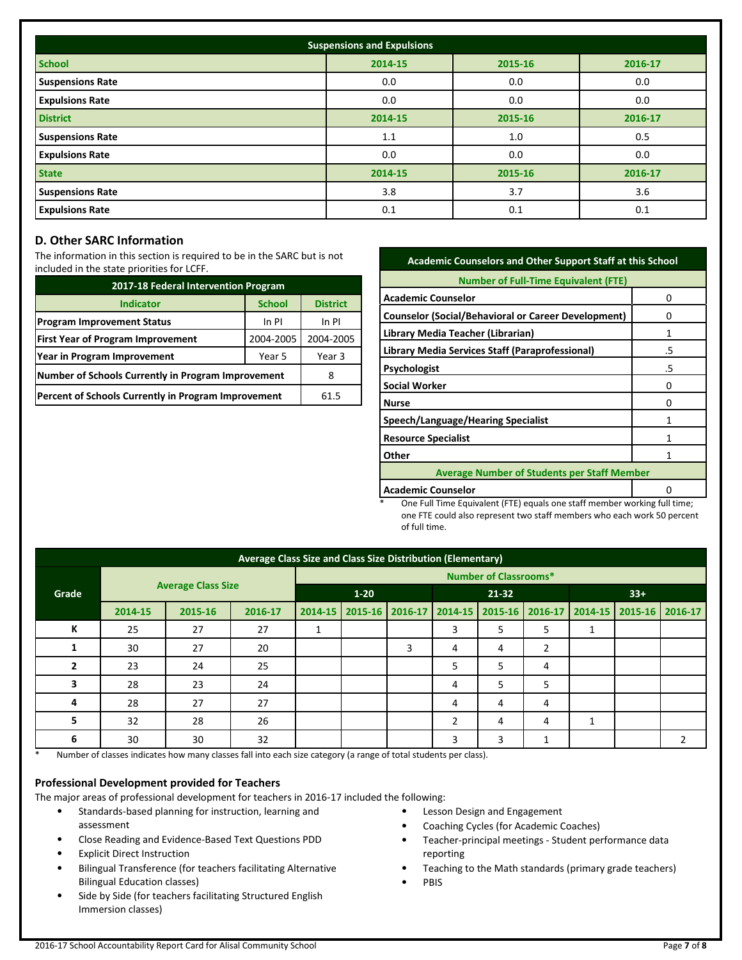| <b>Suspensions and Expulsions</b> |         |         |         |  |  |  |
|-----------------------------------|---------|---------|---------|--|--|--|
| <b>School</b>                     | 2014-15 | 2015-16 | 2016-17 |  |  |  |
| <b>Suspensions Rate</b>           | 0.0     | 0.0     | 0.0     |  |  |  |
| <b>Expulsions Rate</b>            | 0.0     | 0.0     | 0.0     |  |  |  |
| <b>District</b>                   | 2014-15 | 2015-16 | 2016-17 |  |  |  |
| <b>Suspensions Rate</b>           | 1.1     | 1.0     | 0.5     |  |  |  |
| <b>Expulsions Rate</b>            | 0.0     | 0.0     | 0.0     |  |  |  |
| <b>State</b>                      | 2014-15 | 2015-16 | 2016-17 |  |  |  |
| <b>Suspensions Rate</b>           | 3.8     | 3.7     | 3.6     |  |  |  |
| <b>Expulsions Rate</b>            | 0.1     | 0.1     | 0.1     |  |  |  |

## **D. Other SARC Information**

The information in this section is required to be in the SARC but is not included in the state priorities for LCFF.

| 2017-18 Federal Intervention Program                |                 |           |  |  |  |
|-----------------------------------------------------|-----------------|-----------|--|--|--|
| <b>Indicator</b>                                    | <b>District</b> |           |  |  |  |
| <b>Program Improvement Status</b>                   | In PI           | In PI     |  |  |  |
| <b>First Year of Program Improvement</b>            | 2004-2005       | 2004-2005 |  |  |  |
| Year in Program Improvement                         | Year 3          |           |  |  |  |
| Number of Schools Currently in Program Improvement  | 8               |           |  |  |  |
| Percent of Schools Currently in Program Improvement | 61.5            |           |  |  |  |

| <b>Academic Counselors and Other Support Staff at this School</b> |    |  |  |  |
|-------------------------------------------------------------------|----|--|--|--|
| <b>Number of Full-Time Equivalent (FTE)</b>                       |    |  |  |  |
| <b>Academic Counselor</b>                                         | 0  |  |  |  |
| <b>Counselor (Social/Behavioral or Career Development)</b>        | O  |  |  |  |
| Library Media Teacher (Librarian)                                 | 1  |  |  |  |
| Library Media Services Staff (Paraprofessional)                   | .5 |  |  |  |
| <b>Psychologist</b>                                               | .5 |  |  |  |
| <b>Social Worker</b>                                              | o  |  |  |  |
| <b>Nurse</b>                                                      | O  |  |  |  |
| Speech/Language/Hearing Specialist                                | 1  |  |  |  |
| <b>Resource Specialist</b>                                        | 1  |  |  |  |
| Other                                                             | 1  |  |  |  |
| <b>Average Number of Students per Staff Member</b>                |    |  |  |  |
| <b>Academic Counselor</b>                                         |    |  |  |  |

One Full Time Equivalent (FTE) equals one staff member working full time; one FTE could also represent two staff members who each work 50 percent of full time.

| Average Class Size and Class Size Distribution (Elementary) |         |                              |         |             |  |       |                                                                 |   |   |    |  |   |
|-------------------------------------------------------------|---------|------------------------------|---------|-------------|--|-------|-----------------------------------------------------------------|---|---|----|--|---|
| <b>Average Class Size</b><br>Grade                          |         | <b>Number of Classrooms*</b> |         |             |  |       |                                                                 |   |   |    |  |   |
|                                                             |         | $1 - 20$                     |         | 21-32       |  | $33+$ |                                                                 |   |   |    |  |   |
|                                                             | 2014-15 | 2015-16                      | 2016-17 | $2014 - 15$ |  |       | 2015-16 2016-17 2014-15 2015-16 2016-17 2014-15 2015-16 2016-17 |   |   |    |  |   |
| К                                                           | 25      | 27                           | 27      |             |  |       | 3                                                               | 5 | 5 | Ŧ. |  |   |
|                                                             | 30      | 27                           | 20      |             |  | 3     | 4                                                               | 4 | 2 |    |  |   |
|                                                             | 23      | 24                           | 25      |             |  |       | 5                                                               | 5 | 4 |    |  |   |
|                                                             | 28      | 23                           | 24      |             |  |       | 4                                                               | 5 | 5 |    |  |   |
| 4                                                           | 28      | 27                           | 27      |             |  |       | 4                                                               | 4 | 4 |    |  |   |
| 5                                                           | 32      | 28                           | 26      |             |  |       | $\overline{2}$                                                  | 4 | 4 |    |  |   |
| 6                                                           | 30      | 30                           | 32      |             |  |       | 3                                                               | 3 |   |    |  | 2 |

\* Number of classes indicates how many classes fall into each size category (a range of total students per class).

## **Professional Development provided for Teachers**

The major areas of professional development for teachers in 2016-17 included the following:

- Standards-based planning for instruction, learning and assessment
- Close Reading and Evidence-Based Text Questions PDD • Explicit Direct Instruction
- Bilingual Transference (for teachers facilitating Alternative Bilingual Education classes)
- Side by Side (for teachers facilitating Structured English Immersion classes)
- Lesson Design and Engagement
- Coaching Cycles (for Academic Coaches)
- Teacher-principal meetings Student performance data reporting
- Teaching to the Math standards (primary grade teachers)
- PBIS